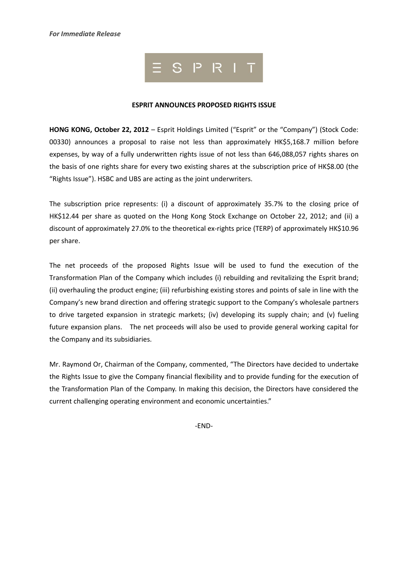

### **ESPRIT ANNOUNCES PROPOSED RIGHTS ISSUE**

**HONG KONG, October 22, 2012** – Esprit Holdings Limited ("Esprit" or the "Company") (Stock Code: 00330) announces a proposal to raise not less than approximately HK\$5,168.7 million before expenses, by way of a fully underwritten rights issue of not less than 646,088,057 rights shares on the basis of one rights share for every two existing shares at the subscription price of HK\$8.00 (the "Rights Issue"). HSBC and UBS are acting as the joint underwriters.

The subscription price represents: (i) a discount of approximately 35.7% to the closing price of HK\$12.44 per share as quoted on the Hong Kong Stock Exchange on October 22, 2012; and (ii) a discount of approximately 27.0% to the theoretical ex-rights price (TERP) of approximately HK\$10.96 per share.

The net proceeds of the proposed Rights Issue will be used to fund the execution of the Transformation Plan of the Company which includes (i) rebuilding and revitalizing the Esprit brand; (ii) overhauling the product engine; (iii) refurbishing existing stores and points of sale in line with the Company's new brand direction and offering strategic support to the Company's wholesale partners to drive targeted expansion in strategic markets; (iv) developing its supply chain; and (v) fueling future expansion plans. The net proceeds will also be used to provide general working capital for the Company and its subsidiaries.

Mr. Raymond Or, Chairman of the Company, commented, "The Directors have decided to undertake the Rights Issue to give the Company financial flexibility and to provide funding for the execution of the Transformation Plan of the Company. In making this decision, the Directors have considered the current challenging operating environment and economic uncertainties."

-END-